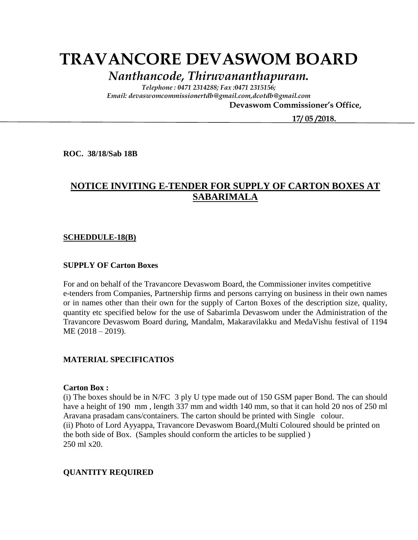# **TRAVANCORE DEVASWOM BOARD**

*Nanthancode, Thiruvananthapuram.*

*Telephone : 0471 2314288; Fax :0471 2315156; Email: devaswomcommissionertdb@gmail.com,dcotdb@gmail.com*

 **Devaswom Commissioner's Office,**

 **17/ 05 /2018.**

**ROC. 38/18/Sab 18B**

## **NOTICE INVITING E-TENDER FOR SUPPLY OF CARTON BOXES AT SABARIMALA**

#### **SCHEDDULE-18(B)**

#### **SUPPLY OF Carton Boxes**

For and on behalf of the Travancore Devaswom Board, the Commissioner invites competitive e-tenders from Companies, Partnership firms and persons carrying on business in their own names or in names other than their own for the supply of Carton Boxes of the description size, quality, quantity etc specified below for the use of Sabarimla Devaswom under the Administration of the Travancore Devaswom Board during, Mandalm, Makaravilakku and MedaVishu festival of 1194 ME (2018 – 2019).

#### **MATERIAL SPECIFICATIOS**

#### **Carton Box :**

(i) The boxes should be in N/FC 3 ply U type made out of 150 GSM paper Bond. The can should have a height of 190 mm , length 337 mm and width 140 mm, so that it can hold 20 nos of 250 ml Aravana prasadam cans/containers. The carton should be printed with Single colour. (ii) Photo of Lord Ayyappa, Travancore Devaswom Board,(Multi Coloured should be printed on the both side of Box. (Samples should conform the articles to be supplied ) 250 ml x20.

#### **QUANTITY REQUIRED**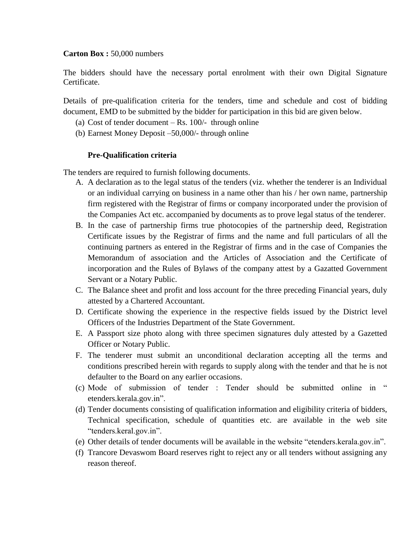#### **Carton Box :** 50,000 numbers

The bidders should have the necessary portal enrolment with their own Digital Signature Certificate.

Details of pre-qualification criteria for the tenders, time and schedule and cost of bidding document, EMD to be submitted by the bidder for participation in this bid are given below.

- (a) Cost of tender document  $-Rs$ . 100/- through online
- (b) Earnest Money Deposit –50,000/- through online

#### **Pre-Qualification criteria**

The tenders are required to furnish following documents.

- A. A declaration as to the legal status of the tenders (viz. whether the tenderer is an Individual or an individual carrying on business in a name other than his / her own name, partnership firm registered with the Registrar of firms or company incorporated under the provision of the Companies Act etc. accompanied by documents as to prove legal status of the tenderer.
- B. In the case of partnership firms true photocopies of the partnership deed, Registration Certificate issues by the Registrar of firms and the name and full particulars of all the continuing partners as entered in the Registrar of firms and in the case of Companies the Memorandum of association and the Articles of Association and the Certificate of incorporation and the Rules of Bylaws of the company attest by a Gazatted Government Servant or a Notary Public.
- C. The Balance sheet and profit and loss account for the three preceding Financial years, duly attested by a Chartered Accountant.
- D. Certificate showing the experience in the respective fields issued by the District level Officers of the Industries Department of the State Government.
- E. A Passport size photo along with three specimen signatures duly attested by a Gazetted Officer or Notary Public.
- F. The tenderer must submit an unconditional declaration accepting all the terms and conditions prescribed herein with regards to supply along with the tender and that he is not defaulter to the Board on any earlier occasions.
- (c) Mode of submission of tender : Tender should be submitted online in " etenders.kerala.gov.in".
- (d) Tender documents consisting of qualification information and eligibility criteria of bidders, Technical specification, schedule of quantities etc. are available in the web site "tenders.keral.gov.in".
- (e) Other details of tender documents will be available in the website "etenders.kerala.gov.in".
- (f) Trancore Devaswom Board reserves right to reject any or all tenders without assigning any reason thereof.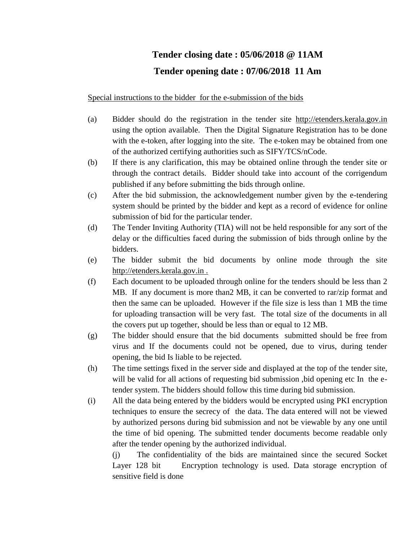# **Tender closing date : 05/06/2018 @ 11AM Tender opening date : 07/06/2018 11 Am**

Special instructions to the bidder for the e-submission of the bids

- (a) Bidder should do the registration in the tender site http://etenders.kerala.gov.in using the option available. Then the Digital Signature Registration has to be done with the e-token, after logging into the site. The e-token may be obtained from one of the authorized certifying authorities such as SIFY/TCS/nCode.
- (b) If there is any clarification, this may be obtained online through the tender site or through the contract details. Bidder should take into account of the corrigendum published if any before submitting the bids through online.
- (c) After the bid submission, the acknowledgement number given by the e-tendering system should be printed by the bidder and kept as a record of evidence for online submission of bid for the particular tender.
- (d) The Tender Inviting Authority (TIA) will not be held responsible for any sort of the delay or the difficulties faced during the submission of bids through online by the bidders.
- (e) The bidder submit the bid documents by online mode through the site http://etenders.kerala.gov.in .
- (f) Each document to be uploaded through online for the tenders should be less than 2 MB. If any document is more than2 MB, it can be converted to rar/zip format and then the same can be uploaded. However if the file size is less than 1 MB the time for uploading transaction will be very fast. The total size of the documents in all the covers put up together, should be less than or equal to 12 MB.
- (g) The bidder should ensure that the bid documents submitted should be free from virus and If the documents could not be opened, due to virus, during tender opening, the bid Is liable to be rejected.
- (h) The time settings fixed in the server side and displayed at the top of the tender site, will be valid for all actions of requesting bid submission ,bid opening etc In the etender system. The bidders should follow this time during bid submission.
- (i) All the data being entered by the bidders would be encrypted using PKI encryption techniques to ensure the secrecy of the data. The data entered will not be viewed by authorized persons during bid submission and not be viewable by any one until the time of bid opening. The submitted tender documents become readable only after the tender opening by the authorized individual.

(j) The confidentiality of the bids are maintained since the secured Socket Layer 128 bit Encryption technology is used. Data storage encryption of sensitive field is done